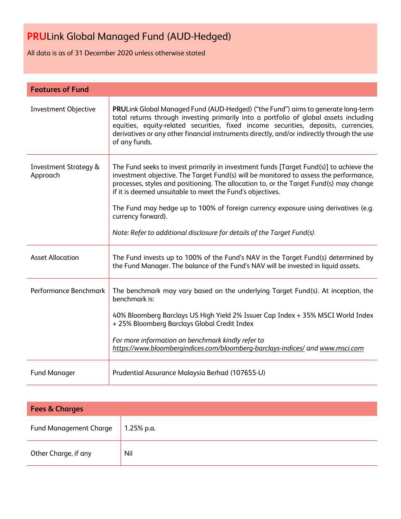All data is as of 31 December 2020 unless otherwise stated

| <b>Features of Fund</b>                      |                                                                                                                                                                                                                                                                                                                                                                                                                                                                                                                               |
|----------------------------------------------|-------------------------------------------------------------------------------------------------------------------------------------------------------------------------------------------------------------------------------------------------------------------------------------------------------------------------------------------------------------------------------------------------------------------------------------------------------------------------------------------------------------------------------|
| <b>Investment Objective</b>                  | PRULink Global Managed Fund (AUD-Hedged) ("the Fund") aims to generate long-term<br>total returns through investing primarily into a portfolio of global assets including<br>equities, equity-related securities, fixed income securities, deposits, currencies,<br>derivatives or any other financial instruments directly, and/or indirectly through the use<br>of any funds.                                                                                                                                               |
| <b>Investment Strategy &amp;</b><br>Approach | The Fund seeks to invest primarily in investment funds [Target Fund(s)] to achieve the<br>investment objective. The Target Fund(s) will be monitored to assess the performance,<br>processes, styles and positioning. The allocation to, or the Target Fund(s) may change<br>if it is deemed unsuitable to meet the Fund's objectives.<br>The Fund may hedge up to 100% of foreign currency exposure using derivatives (e.g.<br>currency forward).<br>Note: Refer to additional disclosure for details of the Target Fund(s). |
| <b>Asset Allocation</b>                      | The Fund invests up to 100% of the Fund's NAV in the Target Fund(s) determined by<br>the Fund Manager. The balance of the Fund's NAV will be invested in liquid assets.                                                                                                                                                                                                                                                                                                                                                       |
| Performance Benchmark                        | The benchmark may vary based on the underlying Target Fund(s). At inception, the<br>benchmark is:<br>40% Bloomberg Barclays US High Yield 2% Issuer Cap Index + 35% MSCI World Index<br>+ 25% Bloomberg Barclays Global Credit Index<br>For more information on benchmark kindly refer to<br>https://www.bloombergindices.com/bloomberg-barclays-indices/ and www.msci.com                                                                                                                                                    |
| <b>Fund Manager</b>                          | Prudential Assurance Malaysia Berhad (107655-U)                                                                                                                                                                                                                                                                                                                                                                                                                                                                               |

| <b>Fees &amp; Charges</b>     |            |  |  |  |
|-------------------------------|------------|--|--|--|
| <b>Fund Management Charge</b> | 1.25% p.a. |  |  |  |
| Other Charge, if any          | Nil        |  |  |  |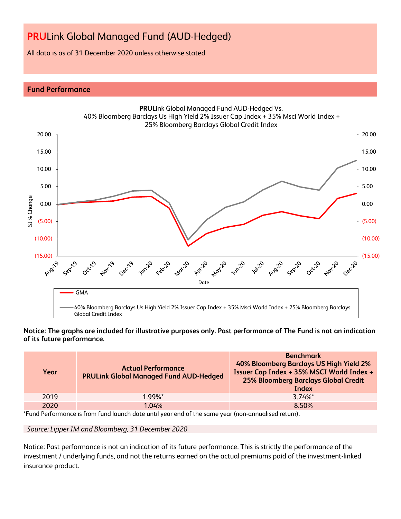All data is as of 31 December 2020 unless otherwise stated

# **Fund Performance**



# **Notice: The graphs are included for illustrative purposes only. Past performance of The Fund is not an indication of its future performance.**

| Year | <b>Actual Performance</b><br><b>PRULink Global Managed Fund AUD-Hedged</b> | <b>Benchmark</b><br>40% Bloomberg Barclays US High Yield 2%<br>Issuer Cap Index + 35% MSCI World Index +<br><b>25% Bloomberg Barclays Global Credit</b><br>Index |
|------|----------------------------------------------------------------------------|------------------------------------------------------------------------------------------------------------------------------------------------------------------|
| 2019 | $1.99\%$ <sup>*</sup>                                                      | $3.74\%$ <sup>*</sup>                                                                                                                                            |
| 2020 | 1.04%                                                                      | 8.50%                                                                                                                                                            |

\*Fund Performance is from fund launch date until year end of the same year (non-annualised return).

*Source: Lipper IM and Bloomberg, 31 December 2020*

Notice: Past performance is not an indication of its future performance. This is strictly the performance of the investment / underlying funds, and not the returns earned on the actual premiums paid of the investment-linked insurance product.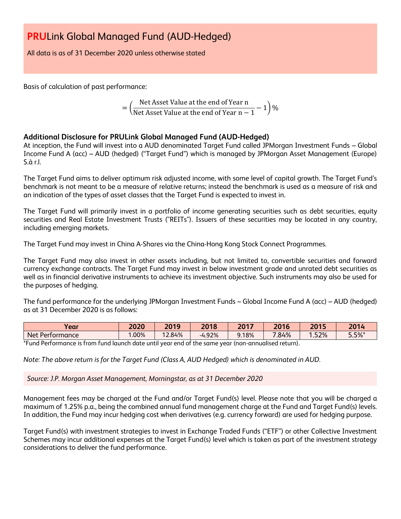All data is as of 31 December 2020 unless otherwise stated

Basis of calculation of past performance:

$$
= \left(\frac{\text{Net Asset Value at the end of Year n}}{\text{Net Asset Value at the end of Year n} - 1}\right)\%
$$

# **Additional Disclosure for PRULink Global Managed Fund (AUD-Hedged)**

At inception, the Fund will invest into a AUD denominated Target Fund called JPMorgan Investment Funds – Global Income Fund A (acc) – AUD (hedged) ("Target Fund") which is managed by JPMorgan Asset Management (Europe) S.à r.l.

The Target Fund aims to deliver optimum risk adjusted income, with some level of capital growth. The Target Fund's benchmark is not meant to be a measure of relative returns; instead the benchmark is used as a measure of risk and an indication of the types of asset classes that the Target Fund is expected to invest in.

The Target Fund will primarily invest in a portfolio of income generating securities such as debt securities, equity securities and Real Estate Investment Trusts ("REITs"). Issuers of these securities may be located in any country, including emerging markets.

The Target Fund may invest in China A-Shares via the China-Hong Kong Stock Connect Programmes.

The Target Fund may also invest in other assets including, but not limited to, convertible securities and forward currency exchange contracts. The Target Fund may invest in below investment grade and unrated debt securities as well as in financial derivative instruments to achieve its investment objective. Such instruments may also be used for the purposes of hedging.

The fund performance for the underlying JPMorgan Investment Funds – Global Income Fund A (acc) – AUD (hedged) as at 31 December 2020 is as follows:

| rear                        | 2020 | 2019  | 2018       | $2047$ | 2016       | 201E<br>ZV | 2014     |
|-----------------------------|------|-------|------------|--------|------------|------------|----------|
| <b>Net</b><br>: Performance | .00% | 2.84% | .92%<br>-4 | 3.18%  | 70<br>.84% | .52%       | $5.5%$ * |
| $-$                         |      | .     |            |        |            |            |          |

\*Fund Performance is from fund launch date until year end of the same year (non-annualised return).

*Note: The above return is for the Target Fund (Class A, AUD Hedged) which is denominated in AUD.*

*Source: J.P. Morgan Asset Management, Morningstar, as at 31 December 2020*

Management fees may be charged at the Fund and/or Target Fund(s) level. Please note that you will be charged a maximum of 1.25% p.a., being the combined annual fund management charge at the Fund and Target Fund(s) levels. In addition, the Fund may incur hedging cost when derivatives (e.g. currency forward) are used for hedging purpose.

Target Fund(s) with investment strategies to invest in Exchange Traded Funds ("ETF") or other Collective Investment Schemes may incur additional expenses at the Target Fund(s) level which is taken as part of the investment strategy considerations to deliver the fund performance.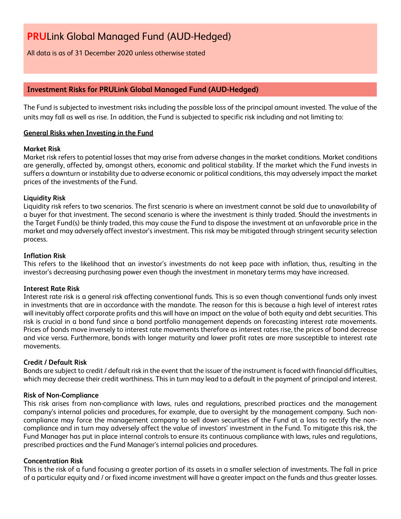All data is as of 31 December 2020 unless otherwise stated

# **Investment Risks for PRULink Global Managed Fund (AUD-Hedged)**

The Fund is subjected to investment risks including the possible loss of the principal amount invested. The value of the units may fall as well as rise. In addition, the Fund is subjected to specific risk including and not limiting to:

# **General Risks when Investing in the Fund**

# **Market Risk**

Market risk refers to potential losses that may arise from adverse changes in the market conditions. Market conditions are generally, affected by, amongst others, economic and political stability. If the market which the Fund invests in suffers a downturn or instability due to adverse economic or political conditions, this may adversely impact the market prices of the investments of the Fund.

# **Liquidity Risk**

Liquidity risk refers to two scenarios. The first scenario is where an investment cannot be sold due to unavailability of a buyer for that investment. The second scenario is where the investment is thinly traded. Should the investments in the Target Fund(s) be thinly traded, this may cause the Fund to dispose the investment at an unfavorable price in the market and may adversely affect investor's investment. This risk may be mitigated through stringent security selection process.

# **Inflation Risk**

This refers to the likelihood that an investor's investments do not keep pace with inflation, thus, resulting in the investor's decreasing purchasing power even though the investment in monetary terms may have increased.

# **Interest Rate Risk**

Interest rate risk is a general risk affecting conventional funds. This is so even though conventional funds only invest in investments that are in accordance with the mandate. The reason for this is because a high level of interest rates will inevitably affect corporate profits and this will have an impact on the value of both equity and debt securities. This risk is crucial in a bond fund since a bond portfolio management depends on forecasting interest rate movements. Prices of bonds move inversely to interest rate movements therefore as interest rates rise, the prices of bond decrease and vice versa. Furthermore, bonds with longer maturity and lower profit rates are more susceptible to interest rate movements.

# **Credit / Default Risk**

Bonds are subject to credit / default risk in the event that the issuer of the instrument is faced with financial difficulties, which may decrease their credit worthiness. This in turn may lead to a default in the payment of principal and interest.

# **Risk of Non-Compliance**

This risk arises from non-compliance with laws, rules and regulations, prescribed practices and the management company's internal policies and procedures, for example, due to oversight by the management company. Such noncompliance may force the management company to sell down securities of the Fund at a loss to rectify the noncompliance and in turn may adversely affect the value of investors' investment in the Fund. To mitigate this risk, the Fund Manager has put in place internal controls to ensure its continuous compliance with laws, rules and regulations, prescribed practices and the Fund Manager's internal policies and procedures.

# **Concentration Risk**

This is the risk of a fund focusing a greater portion of its assets in a smaller selection of investments. The fall in price of a particular equity and / or fixed income investment will have a greater impact on the funds and thus greater losses.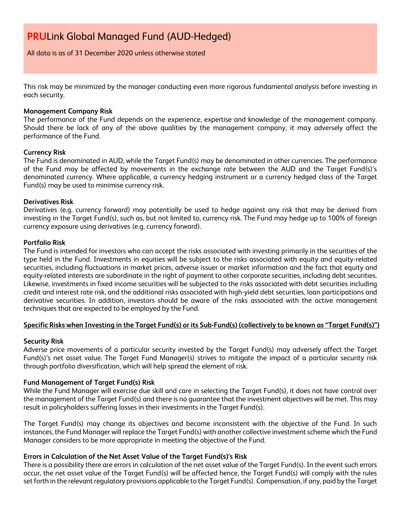All data is as of 31 December 2020 unless otherwise stated

This risk may be minimized by the manager conducting even more rigorous fundamental analysis before investing in each security.

### **Management Company Risk**

The performance of the Fund depends on the experience, expertise and knowledge of the management company. Should there be lack of any of the above qualities by the management company, it may adversely affect the performance of the Fund.

#### **Currency Risk**

The Fund is denominated in AUD, while the Target Fund(s) may be denominated in other currencies. The performance of the Fund may be affected by movements in the exchange rate between the AUD and the Target Fund(s)'s denominated currency. Where applicable, a currency hedging instrument or a currency hedged class of the Target Fund(s) may be used to minimise currency risk.

#### **Derivatives Risk**

Derivatives (e.g. currency forward) may potentially be used to hedge against any risk that may be derived from investing in the Target Fund(s), such as, but not limited to, currency risk. The Fund may hedge up to 100% of foreign currency exposure using derivatives (e.g. currency forward).

#### **Portfolio Risk**

The Fund is intended for investors who can accept the risks associated with investing primarily in the securities of the type held in the Fund. Investments in equities will be subject to the risks associated with equity and equity-related securities, including fluctuations in market prices, adverse issuer or market information and the fact that equity and equity-related interests are subordinate in the right of payment to other corporate securities, including debt securities. Likewise, investments in fixed income securities will be subjected to the risks associated with debt securities including credit and interest rate risk, and the additional risks associated with high-yield debt securities, loan participations and derivative securities. In addition, investors should be aware of the risks associated with the active management techniques that are expected to be employed by the Fund.

# **Specific Risks when Investing in the Target Fund(s) or its Sub-Fund(s) (collectively to be known as "Target Fund(s)")**

# **Security Risk**

Adverse price movements of a particular security invested by the Target Fund(s) may adversely affect the Target Fund(s)'s net asset value. The Target Fund Manager(s) strives to mitigate the impact of a particular security risk through portfolio diversification, which will help spread the element of risk.

# **Fund Management of Target Fund(s) Risk**

While the Fund Manager will exercise due skill and care in selecting the Target Fund(s), it does not have control over the management of the Target Fund(s) and there is no guarantee that the investment objectives will be met. This may result in policyholders suffering losses in their investments in the Target Fund(s).

The Target Fund(s) may change its objectives and become inconsistent with the objective of the Fund. In such instances, the Fund Manager will replace the Target Fund(s) with another collective investment scheme which the Fund Manager considers to be more appropriate in meeting the objective of the Fund.

# **Errors in Calculation of the Net Asset Value of the Target Fund(s)'s Risk**

There is a possibility there are errors in calculation of the net asset value of the Target Fund(s). In the event such errors occur, the net asset value of the Target Fund(s) will be affected hence, the Target Fund(s) will comply with the rules set forth in the relevant regulatory provisions applicable to the Target Fund(s). Compensation, if any, paid by the Target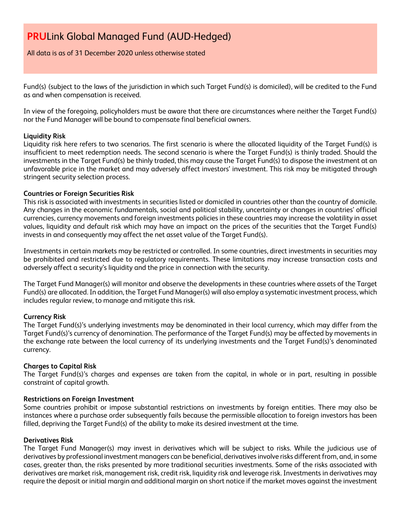All data is as of 31 December 2020 unless otherwise stated

Fund(s) (subject to the laws of the jurisdiction in which such Target Fund(s) is domiciled), will be credited to the Fund as and when compensation is received.

In view of the foregoing, policyholders must be aware that there are circumstances where neither the Target Fund(s) nor the Fund Manager will be bound to compensate final beneficial owners.

# **Liquidity Risk**

Liquidity risk here refers to two scenarios. The first scenario is where the allocated liquidity of the Target Fund(s) is insufficient to meet redemption needs. The second scenario is where the Target Fund(s) is thinly traded. Should the investments in the Target Fund(s) be thinly traded, this may cause the Target Fund(s) to dispose the investment at an unfavorable price in the market and may adversely affect investors' investment. This risk may be mitigated through stringent security selection process.

# **Countries or Foreign Securities Risk**

This risk is associated with investments in securities listed or domiciled in countries other than the country of domicile. Any changes in the economic fundamentals, social and political stability, uncertainty or changes in countries' official currencies, currency movements and foreign investments policies in these countries may increase the volatility in asset values, liquidity and default risk which may have an impact on the prices of the securities that the Target Fund(s) invests in and consequently may affect the net asset value of the Target Fund(s).

Investments in certain markets may be restricted or controlled. In some countries, direct investments in securities may be prohibited and restricted due to regulatory requirements. These limitations may increase transaction costs and adversely affect a security's liquidity and the price in connection with the security.

The Target Fund Manager(s) will monitor and observe the developments in these countries where assets of the Target Fund(s) are allocated. In addition, the Target Fund Manager(s) will also employ a systematic investment process, which includes regular review, to manage and mitigate this risk.

# **Currency Risk**

The Target Fund(s)'s underlying investments may be denominated in their local currency, which may differ from the Target Fund(s)'s currency of denomination. The performance of the Target Fund(s) may be affected by movements in the exchange rate between the local currency of its underlying investments and the Target Fund(s)'s denominated currency.

# **Charges to Capital Risk**

The Target Fund(s)'s charges and expenses are taken from the capital, in whole or in part, resulting in possible constraint of capital growth.

# **Restrictions on Foreign Investment**

Some countries prohibit or impose substantial restrictions on investments by foreign entities. There may also be instances where a purchase order subsequently fails because the permissible allocation to foreign investors has been filled, depriving the Target Fund(s) of the ability to make its desired investment at the time.

# **Derivatives Risk**

The Target Fund Manager(s) may invest in derivatives which will be subject to risks. While the judicious use of derivatives by professional investment managers can be beneficial, derivatives involve risks different from, and, in some cases, greater than, the risks presented by more traditional securities investments. Some of the risks associated with derivatives are market risk, management risk, credit risk, liquidity risk and leverage risk. Investments in derivatives may require the deposit or initial margin and additional margin on short notice if the market moves against the investment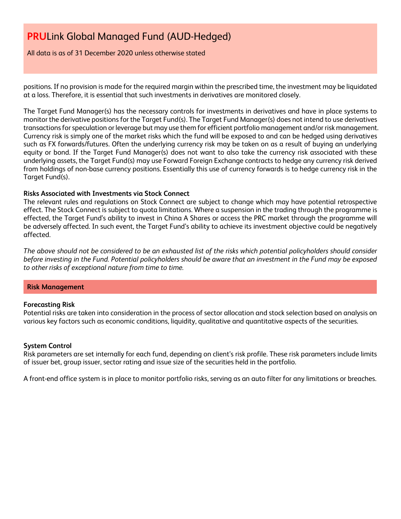All data is as of 31 December 2020 unless otherwise stated

positions. If no provision is made for the required margin within the prescribed time, the investment may be liquidated at a loss. Therefore, it is essential that such investments in derivatives are monitored closely.

The Target Fund Manager(s) has the necessary controls for investments in derivatives and have in place systems to monitor the derivative positions for the Target Fund(s). The Target Fund Manager(s) does not intend to use derivatives transactions for speculation or leverage but may use them for efficient portfolio management and/or risk management. Currency risk is simply one of the market risks which the fund will be exposed to and can be hedged using derivatives such as FX forwards/futures. Often the underlying currency risk may be taken on as a result of buying an underlying equity or bond. If the Target Fund Manager(s) does not want to also take the currency risk associated with these underlying assets, the Target Fund(s) may use Forward Foreign Exchange contracts to hedge any currency risk derived from holdings of non-base currency positions. Essentially this use of currency forwards is to hedge currency risk in the Target Fund(s).

# **Risks Associated with Investments via Stock Connect**

The relevant rules and regulations on Stock Connect are subject to change which may have potential retrospective effect. The Stock Connect is subject to quota limitations. Where a suspension in the trading through the programme is effected, the Target Fund's ability to invest in China A Shares or access the PRC market through the programme will be adversely affected. In such event, the Target Fund's ability to achieve its investment objective could be negatively affected.

*The above should not be considered to be an exhausted list of the risks which potential policyholders should consider before investing in the Fund. Potential policyholders should be aware that an investment in the Fund may be exposed to other risks of exceptional nature from time to time.*

#### **Risk Management**

#### **Forecasting Risk**

Potential risks are taken into consideration in the process of sector allocation and stock selection based on analysis on various key factors such as economic conditions, liquidity, qualitative and quantitative aspects of the securities.

# **System Control**

Risk parameters are set internally for each fund, depending on client's risk profile. These risk parameters include limits of issuer bet, group issuer, sector rating and issue size of the securities held in the portfolio.

A front-end office system is in place to monitor portfolio risks, serving as an auto filter for any limitations or breaches.